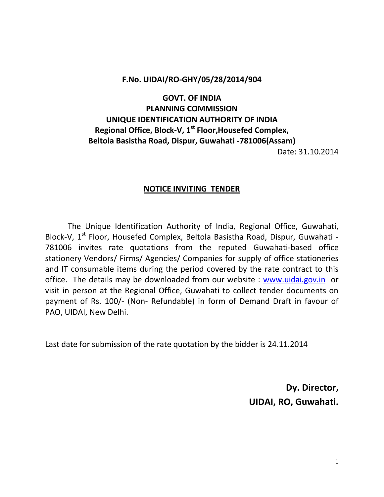# **F.No. UIDAI/RO-GHY/05/28/2014/904**

# **GOVT. OF INDIA PLANNING COMMISSION UNIQUE IDENTIFICATION AUTHORITY OF INDIA Regional Office, Block-V, 1st Floor,Housefed Complex, Beltola Basistha Road, Dispur, Guwahati -781006(Assam)**

Date: 31.10.2014

# **NOTICE INVITING TENDER**

The Unique Identification Authority of India, Regional Office, Guwahati, Block-V,  $1^{st}$  Floor, Housefed Complex, Beltola Basistha Road, Dispur, Guwahati -781006 invites rate quotations from the reputed Guwahati-based office stationery Vendors/ Firms/ Agencies/ Companies for supply of office stationeries and IT consumable items during the period covered by the rate contract to this office. The details may be downloaded from our website : [www.uidai.gov.in](http://www.uidai.gov.in/) or visit in person at the Regional Office, Guwahati to collect tender documents on payment of Rs. 100/- (Non- Refundable) in form of Demand Draft in favour of PAO, UIDAI, New Delhi.

Last date for submission of the rate quotation by the bidder is 24.11.2014

**Dy. Director, UIDAI, RO, Guwahati.**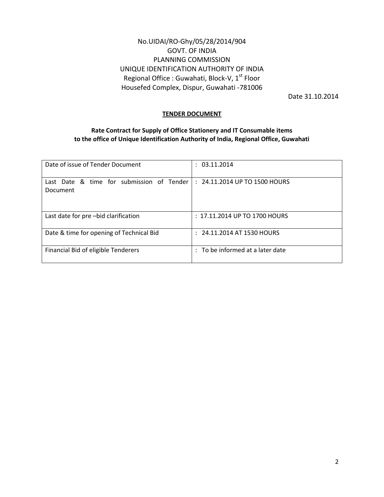# No.UIDAI/RO-Ghy/05/28/2014/904 GOVT. OF INDIA PLANNING COMMISSION UNIQUE IDENTIFICATION AUTHORITY OF INDIA Regional Office : Guwahati, Block-V, 1<sup>st</sup> Floor Housefed Complex, Dispur, Guwahati -781006

Date 31.10.2014

#### **TENDER DOCUMENT**

## **Rate Contract for Supply of Office Stationery and IT Consumable items to the office of Unique Identification Authority of India, Regional Office, Guwahati**

| Date of issue of Tender Document                      | : 03.11.2014                     |
|-------------------------------------------------------|----------------------------------|
| Last Date & time for submission of Tender<br>Document | : 24.11.2014 UP TO 1500 HOURS    |
| Last date for pre-bid clarification                   | $: 17.11.2014$ UP TO 1700 HOURS  |
| Date & time for opening of Technical Bid              | 24.11.2014 AT 1530 HOURS         |
| Financial Bid of eligible Tenderers                   | : To be informed at a later date |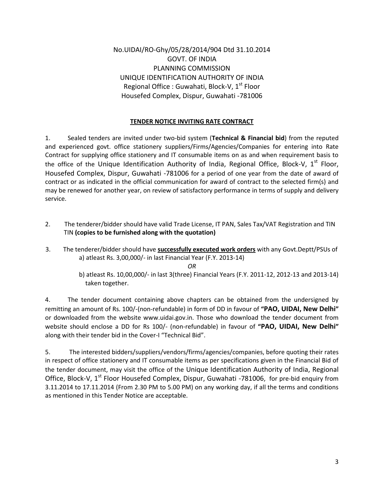No.UIDAI/RO-Ghy/05/28/2014/904 Dtd 31.10.2014 GOVT. OF INDIA PLANNING COMMISSION UNIQUE IDENTIFICATION AUTHORITY OF INDIA Regional Office : Guwahati, Block-V,  $1<sup>st</sup>$  Floor Housefed Complex, Dispur, Guwahati -781006

# **TENDER NOTICE INVITING RATE CONTRACT**

1. Sealed tenders are invited under two-bid system (**Technical & Financial bid**) from the reputed and experienced govt. office stationery suppliers/Firms/Agencies/Companies for entering into Rate Contract for supplying office stationery and IT consumable items on as and when requirement basis to the office of the Unique Identification Authority of India, Regional Office, Block-V,  $1^{st}$  Floor, Housefed Complex, Dispur, Guwahati -781006 for a period of one year from the date of award of contract or as indicated in the official communication for award of contract to the selected firm(s) and may be renewed for another year, on review of satisfactory performance in terms of supply and delivery service.

- 2. The tenderer/bidder should have valid Trade License, IT PAN, Sales Tax/VAT Registration and TIN TIN **(copies to be furnished along with the quotation)**
- 3. The tenderer/bidder should have **successfully executed work orders** with any Govt.Deptt/PSUs of a) atleast Rs. 3,00,000/- in last Financial Year (F.Y. 2013-14)

*OR*

b) atleast Rs. 10,00,000/- in last 3(three) Financial Years (F.Y. 2011-12, 2012-13 and 2013-14) taken together.

4. The tender document containing above chapters can be obtained from the undersigned by remitting an amount of Rs. 100/-(non-refundable) in form of DD in favour of **"PAO, UIDAI, New Delhi"**  or downloaded from the website www.uidai.gov.in. Those who download the tender document from website should enclose a DD for Rs 100/- (non-refundable) in favour of **"PAO, UIDAI, New Delhi"**  along with their tender bid in the Cover-I "Technical Bid".

5. The interested bidders/suppliers/vendors/firms/agencies/companies, before quoting their rates in respect of office stationery and IT consumable items as per specifications given in the Financial Bid of the tender document, may visit the office of the Unique Identification Authority of India, Regional Office, Block-V, 1<sup>st</sup> Floor Housefed Complex, Dispur, Guwahati -781006, for pre-bid enquiry from 3.11.2014 to 17.11.2014 (From 2.30 PM to 5.00 PM) on any working day, if all the terms and conditions as mentioned in this Tender Notice are acceptable.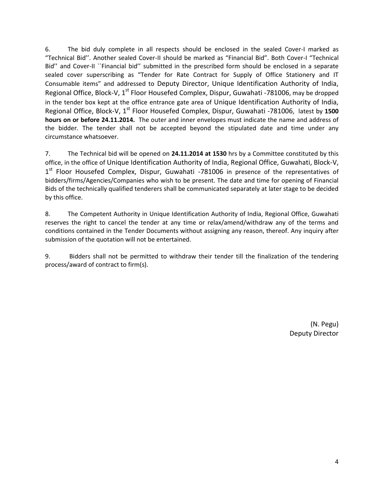6. The bid duly complete in all respects should be enclosed in the sealed Cover-I marked as "Technical Bid''. Another sealed Cover-II should be marked as "Financial Bid". Both Cover-I "Technical Bid'' and Cover-II ``Financial bid'' submitted in the prescribed form should be enclosed in a separate sealed cover superscribing as "Tender for Rate Contract for Supply of Office Stationery and IT Consumable items" and addressed to Deputy Director, Unique Identification Authority of India, Regional Office, Block-V, 1<sup>st</sup> Floor Housefed Complex, Dispur, Guwahati -781006, may be dropped in the tender box kept at the office entrance gate area of Unique Identification Authority of India, Regional Office, Block-V, 1st Floor Housefed Complex, Dispur, Guwahati -781006, latest by **1500 hours on or before 24.11.2014.** The outer and inner envelopes must indicate the name and address of the bidder. The tender shall not be accepted beyond the stipulated date and time under any circumstance whatsoever.

7. The Technical bid will be opened on **24.11.2014 at 1530** hrs by a Committee constituted by this office, in the office of Unique Identification Authority of India, Regional Office, Guwahati, Block-V, 1<sup>st</sup> Floor Housefed Complex, Dispur, Guwahati -781006 in presence of the representatives of bidders/firms/Agencies/Companies who wish to be present. The date and time for opening of Financial Bids of the technically qualified tenderers shall be communicated separately at later stage to be decided by this office.

8. The Competent Authority in Unique Identification Authority of India, Regional Office, Guwahati reserves the right to cancel the tender at any time or relax/amend/withdraw any of the terms and conditions contained in the Tender Documents without assigning any reason, thereof. Any inquiry after submission of the quotation will not be entertained.

9. Bidders shall not be permitted to withdraw their tender till the finalization of the tendering process/award of contract to firm(s).

> (N. Pegu) Deputy Director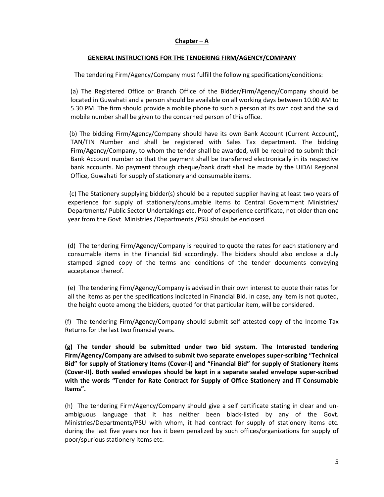#### **Chapter – A**

#### **GENERAL INSTRUCTIONS FOR THE TENDERING FIRM/AGENCY/COMPANY**

The tendering Firm/Agency/Company must fulfill the following specifications/conditions:

(a) The Registered Office or Branch Office of the Bidder/Firm/Agency/Company should be located in Guwahati and a person should be available on all working days between 10.00 AM to 5.30 PM. The firm should provide a mobile phone to such a person at its own cost and the said mobile number shall be given to the concerned person of this office.

(b) The bidding Firm/Agency/Company should have its own Bank Account (Current Account), TAN/TIN Number and shall be registered with Sales Tax department. The bidding Firm/Agency/Company, to whom the tender shall be awarded, will be required to submit their Bank Account number so that the payment shall be transferred electronically in its respective bank accounts. No payment through cheque/bank draft shall be made by the UIDAI Regional Office, Guwahati for supply of stationery and consumable items.

(c) The Stationery supplying bidder(s) should be a reputed supplier having at least two years of experience for supply of stationery/consumable items to Central Government Ministries/ Departments/ Public Sector Undertakings etc. Proof of experience certificate, not older than one year from the Govt. Ministries /Departments /PSU should be enclosed.

(d) The tendering Firm/Agency/Company is required to quote the rates for each stationery and consumable items in the Financial Bid accordingly. The bidders should also enclose a duly stamped signed copy of the terms and conditions of the tender documents conveying acceptance thereof.

(e) The tendering Firm/Agency/Company is advised in their own interest to quote their rates for all the items as per the specifications indicated in Financial Bid. In case, any item is not quoted, the height quote among the bidders, quoted for that particular item, will be considered.

(f) The tendering Firm/Agency/Company should submit self attested copy of the Income Tax Returns for the last two financial years.

**(g) The tender should be submitted under two bid system. The Interested tendering Firm/Agency/Company are advised to submit two separate envelopes super-scribing "Technical Bid" for supply of Stationery Items (Cover-I) and "Financial Bid" for supply of Stationery items (Cover-II). Both sealed envelopes should be kept in a separate sealed envelope super-scribed with the words "Tender for Rate Contract for Supply of Office Stationery and IT Consumable Items".**

(h) The tendering Firm/Agency/Company should give a self certificate stating in clear and unambiguous language that it has neither been black-listed by any of the Govt. Ministries/Departments/PSU with whom, it had contract for supply of stationery items etc. during the last five years nor has it been penalized by such offices/organizations for supply of poor/spurious stationery items etc.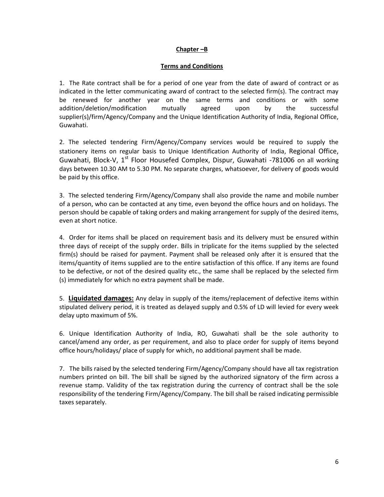#### **Chapter –B**

#### **Terms and Conditions**

1. The Rate contract shall be for a period of one year from the date of award of contract or as indicated in the letter communicating award of contract to the selected firm(s). The contract may be renewed for another year on the same terms and conditions or with some addition/deletion/modification mutually agreed upon by the successful supplier(s)/firm/Agency/Company and the Unique Identification Authority of India, Regional Office, Guwahati.

2. The selected tendering Firm/Agency/Company services would be required to supply the stationery items on regular basis to Unique Identification Authority of India, Regional Office, Guwahati, Block-V,  $1^{st}$  Floor Housefed Complex, Dispur, Guwahati -781006 on all working days between 10.30 AM to 5.30 PM. No separate charges, whatsoever, for delivery of goods would be paid by this office.

3. The selected tendering Firm/Agency/Company shall also provide the name and mobile number of a person, who can be contacted at any time, even beyond the office hours and on holidays. The person should be capable of taking orders and making arrangement for supply of the desired items, even at short notice.

4. Order for items shall be placed on requirement basis and its delivery must be ensured within three days of receipt of the supply order. Bills in triplicate for the items supplied by the selected firm(s) should be raised for payment. Payment shall be released only after it is ensured that the items/quantity of items supplied are to the entire satisfaction of this office. If any items are found to be defective, or not of the desired quality etc., the same shall be replaced by the selected firm (s) immediately for which no extra payment shall be made.

5. **Liquidated damages:** Any delay in supply of the items/replacement of defective items within stipulated delivery period, it is treated as delayed supply and 0.5% of LD will levied for every week delay upto maximum of 5%.

6. Unique Identification Authority of India, RO, Guwahati shall be the sole authority to cancel/amend any order, as per requirement, and also to place order for supply of items beyond office hours/holidays/ place of supply for which, no additional payment shall be made.

7. The bills raised by the selected tendering Firm/Agency/Company should have all tax registration numbers printed on bill. The bill shall be signed by the authorized signatory of the firm across a revenue stamp. Validity of the tax registration during the currency of contract shall be the sole responsibility of the tendering Firm/Agency/Company. The bill shall be raised indicating permissible taxes separately.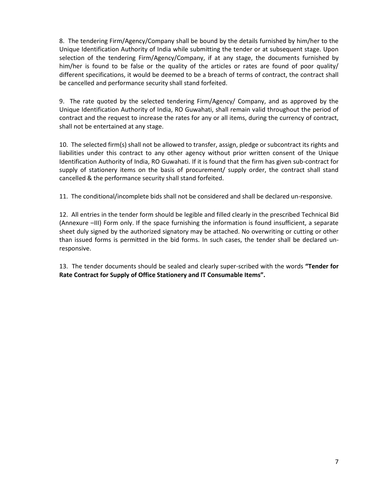8. The tendering Firm/Agency/Company shall be bound by the details furnished by him/her to the Unique Identification Authority of India while submitting the tender or at subsequent stage. Upon selection of the tendering Firm/Agency/Company, if at any stage, the documents furnished by him/her is found to be false or the quality of the articles or rates are found of poor quality/ different specifications, it would be deemed to be a breach of terms of contract, the contract shall be cancelled and performance security shall stand forfeited.

9. The rate quoted by the selected tendering Firm/Agency/ Company, and as approved by the Unique Identification Authority of India, RO Guwahati, shall remain valid throughout the period of contract and the request to increase the rates for any or all items, during the currency of contract, shall not be entertained at any stage.

10. The selected firm(s) shall not be allowed to transfer, assign, pledge or subcontract its rights and liabilities under this contract to any other agency without prior written consent of the Unique Identification Authority of India, RO Guwahati. If it is found that the firm has given sub-contract for supply of stationery items on the basis of procurement/ supply order, the contract shall stand cancelled & the performance security shall stand forfeited.

11. The conditional/incomplete bids shall not be considered and shall be declared un-responsive.

12. All entries in the tender form should be legible and filled clearly in the prescribed Technical Bid (Annexure –III) Form only. If the space furnishing the information is found insufficient, a separate sheet duly signed by the authorized signatory may be attached. No overwriting or cutting or other than issued forms is permitted in the bid forms. In such cases, the tender shall be declared unresponsive.

13. The tender documents should be sealed and clearly super-scribed with the words **"Tender for Rate Contract for Supply of Office Stationery and IT Consumable Items".**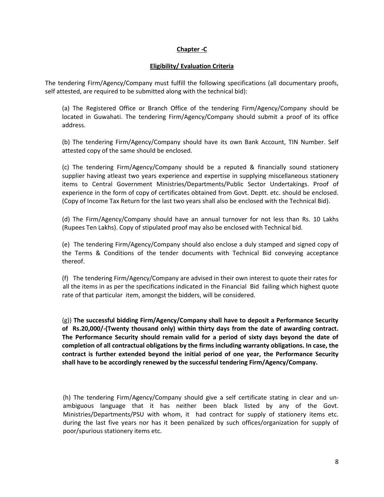#### **Chapter -C**

#### **Eligibility/ Evaluation Criteria**

The tendering Firm/Agency/Company must fulfill the following specifications (all documentary proofs, self attested, are required to be submitted along with the technical bid):

(a) The Registered Office or Branch Office of the tendering Firm/Agency/Company should be located in Guwahati. The tendering Firm/Agency/Company should submit a proof of its office address.

(b) The tendering Firm/Agency/Company should have its own Bank Account, TIN Number. Self attested copy of the same should be enclosed.

(c) The tendering Firm/Agency/Company should be a reputed & financially sound stationery supplier having atleast two years experience and expertise in supplying miscellaneous stationery items to Central Government Ministries/Departments/Public Sector Undertakings. Proof of experience in the form of copy of certificates obtained from Govt. Deptt. etc. should be enclosed. (Copy of Income Tax Return for the last two years shall also be enclosed with the Technical Bid).

(d) The Firm/Agency/Company should have an annual turnover for not less than Rs. 10 Lakhs (Rupees Ten Lakhs). Copy of stipulated proof may also be enclosed with Technical bid.

(e) The tendering Firm/Agency/Company should also enclose a duly stamped and signed copy of the Terms & Conditions of the tender documents with Technical Bid conveying acceptance thereof.

(f) The tendering Firm/Agency/Company are advised in their own interest to quote their rates for all the items in as per the specifications indicated in the Financial Bid failing which highest quote rate of that particular item, amongst the bidders, will be considered.

(g)) **The successful bidding Firm/Agency/Company shall have to deposit a Performance Security of Rs.20,000/-(Twenty thousand only) within thirty days from the date of awarding contract. The Performance Security should remain valid for a period of sixty days beyond the date of completion of all contractual obligations by the firms including warranty obligations. In case, the contract is further extended beyond the initial period of one year, the Performance Security shall have to be accordingly renewed by the successful tendering Firm/Agency/Company.** 

(h) The tendering Firm/Agency/Company should give a self certificate stating in clear and unambiguous language that it has neither been black listed by any of the Govt. Ministries/Departments/PSU with whom, it had contract for supply of stationery items etc. during the last five years nor has it been penalized by such offices/organization for supply of poor/spurious stationery items etc.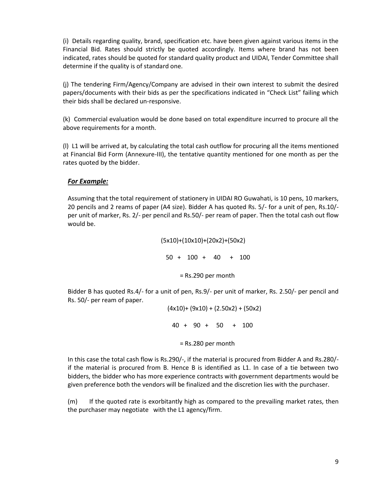(i) Details regarding quality, brand, specification etc. have been given against various items in the Financial Bid. Rates should strictly be quoted accordingly. Items where brand has not been indicated, rates should be quoted for standard quality product and UIDAI, Tender Committee shall determine if the quality is of standard one.

(j) The tendering Firm/Agency/Company are advised in their own interest to submit the desired papers/documents with their bids as per the specifications indicated in "Check List" failing which their bids shall be declared un-responsive.

(k) Commercial evaluation would be done based on total expenditure incurred to procure all the above requirements for a month.

(l) L1 will be arrived at, by calculating the total cash outflow for procuring all the items mentioned at Financial Bid Form (Annexure-III), the tentative quantity mentioned for one month as per the rates quoted by the bidder.

## *For Example:*

Assuming that the total requirement of stationery in UIDAI RO Guwahati, is 10 pens, 10 markers, 20 pencils and 2 reams of paper (A4 size). Bidder A has quoted Rs. 5/- for a unit of pen, Rs.10/ per unit of marker, Rs. 2/- per pencil and Rs.50/- per ream of paper. Then the total cash out flow would be.

(5x10)+(10x10)+(20x2)+(50x2)

50 + 100 + 40 + 100

= Rs.290 per month

Bidder B has quoted Rs.4/- for a unit of pen, Rs.9/- per unit of marker, Rs. 2.50/- per pencil and Rs. 50/- per ream of paper.

> $(4x10)+(9x10)+(2.50x2)+(50x2)$  40 + 90 + 50 + 100 = Rs.280 per month

In this case the total cash flow is Rs.290/-, if the material is procured from Bidder A and Rs.280/ if the material is procured from B. Hence B is identified as L1. In case of a tie between two bidders, the bidder who has more experience contracts with government departments would be given preference both the vendors will be finalized and the discretion lies with the purchaser.

(m) If the quoted rate is exorbitantly high as compared to the prevailing market rates, then the purchaser may negotiate with the L1 agency/firm.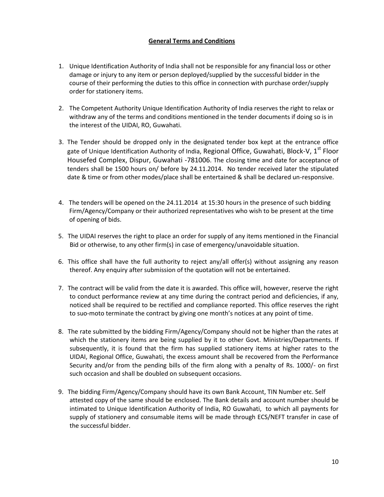# **General Terms and Conditions**

- 1. Unique Identification Authority of India shall not be responsible for any financial loss or other damage or injury to any item or person deployed/supplied by the successful bidder in the course of their performing the duties to this office in connection with purchase order/supply order for stationery items.
- 2. The Competent Authority Unique Identification Authority of India reserves the right to relax or withdraw any of the terms and conditions mentioned in the tender documents if doing so is in the interest of the UIDAI, RO, Guwahati.
- 3. The Tender should be dropped only in the designated tender box kept at the entrance office gate of Unique Identification Authority of India, Regional Office, Guwahati, Block-V,  $1^{st}$  Floor Housefed Complex, Dispur, Guwahati -781006. The closing time and date for acceptance of tenders shall be 1500 hours on/ before by 24.11.2014. No tender received later the stipulated date & time or from other modes/place shall be entertained & shall be declared un-responsive.
- 4. The tenders will be opened on the 24.11.2014 at 15:30 hours in the presence of such bidding Firm/Agency/Company or their authorized representatives who wish to be present at the time of opening of bids.
- 5. The UIDAI reserves the right to place an order for supply of any items mentioned in the Financial Bid or otherwise, to any other firm(s) in case of emergency/unavoidable situation.
- 6. This office shall have the full authority to reject any/all offer(s) without assigning any reason thereof. Any enquiry after submission of the quotation will not be entertained.
- 7. The contract will be valid from the date it is awarded. This office will, however, reserve the right to conduct performance review at any time during the contract period and deficiencies, if any, noticed shall be required to be rectified and compliance reported. This office reserves the right to suo-moto terminate the contract by giving one month's notices at any point of time.
- 8. The rate submitted by the bidding Firm/Agency/Company should not be higher than the rates at which the stationery items are being supplied by it to other Govt. Ministries/Departments. If subsequently, it is found that the firm has supplied stationery items at higher rates to the UIDAI, Regional Office, Guwahati, the excess amount shall be recovered from the Performance Security and/or from the pending bills of the firm along with a penalty of Rs. 1000/- on first such occasion and shall be doubled on subsequent occasions.
- 9. The bidding Firm/Agency/Company should have its own Bank Account, TIN Number etc. Self attested copy of the same should be enclosed. The Bank details and account number should be intimated to Unique Identification Authority of India, RO Guwahati, to which all payments for supply of stationery and consumable items will be made through ECS/NEFT transfer in case of the successful bidder.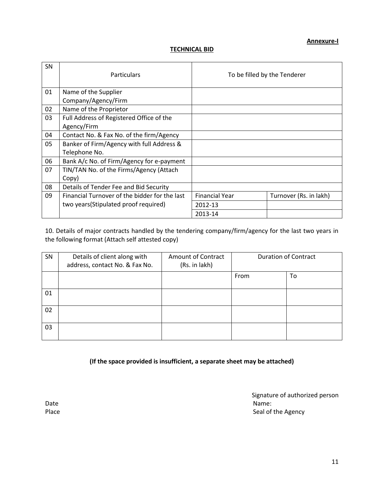# **TECHNICAL BID**

| SN | <b>Particulars</b>                            |                       | To be filled by the Tenderer |
|----|-----------------------------------------------|-----------------------|------------------------------|
| 01 | Name of the Supplier                          |                       |                              |
|    | Company/Agency/Firm                           |                       |                              |
| 02 | Name of the Proprietor                        |                       |                              |
| 03 | Full Address of Registered Office of the      |                       |                              |
|    | Agency/Firm                                   |                       |                              |
| 04 | Contact No. & Fax No. of the firm/Agency      |                       |                              |
| 05 | Banker of Firm/Agency with full Address &     |                       |                              |
|    | Telephone No.                                 |                       |                              |
| 06 | Bank A/c No. of Firm/Agency for e-payment     |                       |                              |
| 07 | TIN/TAN No. of the Firms/Agency (Attach       |                       |                              |
|    | Copy)                                         |                       |                              |
| 08 | Details of Tender Fee and Bid Security        |                       |                              |
| 09 | Financial Turnover of the bidder for the last | <b>Financial Year</b> | Turnover (Rs. in lakh)       |
|    | two years (Stipulated proof required)         | 2012-13               |                              |
|    |                                               | 2013-14               |                              |

10. Details of major contracts handled by the tendering company/firm/agency for the last two years in the following format (Attach self attested copy)

| SN | Details of client along with<br>address, contact No. & Fax No. | <b>Amount of Contract</b><br>(Rs. in lakh) |      | <b>Duration of Contract</b> |
|----|----------------------------------------------------------------|--------------------------------------------|------|-----------------------------|
|    |                                                                |                                            | From | To                          |
| 01 |                                                                |                                            |      |                             |
| 02 |                                                                |                                            |      |                             |
| 03 |                                                                |                                            |      |                             |

**(If the space provided is insufficient, a separate sheet may be attached)**

Signature of authorized person Date **Name:** Name: Name: Name: Name: Name: Name: Name: Name: Name: Name: Name: Name: Name: Name: Name: Name: Name: Name: Name: Name: Name: Name: Name: Name: Name: Name: Name: Name: Name: Name: Name: Name: Name: Name: Name: Place Seal of the Agency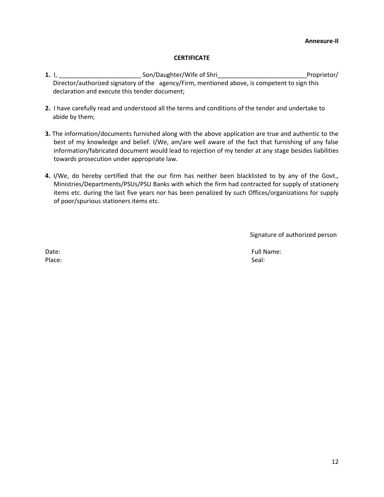#### **Annexure-II**

## **CERTIFICATE**

- **1.** I, **https://wife of Shrilling Son/Daughter/Wife of Shrilling Communist Communist Communist Communist Communist Communist Communist Communist Communist Communist Communist Communist Communist Communist Communist Commun**  Director/authorized signatory of the agency/Firm, mentioned above, is competent to sign this declaration and execute this tender document;
- **2.** I have carefully read and understood all the terms and conditions of the tender and undertake to abide by them;
- **3.** The information/documents furnished along with the above application are true and authentic to the best of my knowledge and belief. I/We, am/are well aware of the fact that furnishing of any false information/fabricated document would lead to rejection of my tender at any stage besides liabilities towards prosecution under appropriate law.
- **4.** I/We, do hereby certified that the our firm has neither been blacklisted to by any of the Govt., Ministries/Departments/PSUs/PSU Banks with which the firm had contracted for supply of stationery items etc. during the last five years nor has been penalized by such Offices/organizations for supply of poor/spurious stationers items etc.

Signature of authorized person

Place: Seal: Seal: Seal: Seal: Seal: Seal: Seal: Seal: Seal: Seal: Seal: Seal: Seal: Seal: Seal: Seal: Seal: Seal: Seal: Seal: Seal: Seal: Seal: Seal: Seal: Seal: Seal: Seal: Seal: Seal: Seal: Seal: Seal: Seal: Seal: Seal:

Date: The Contract of the Contract of the Contract of the Contract of the Contract of True Contract of the Contract of True Contract of the Contract of True Contract of the Contract of True Contract of the Contract of the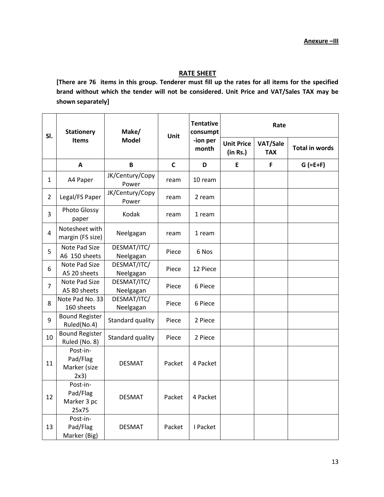# **RATE SHEET**

**[There are 76 items in this group. Tenderer must fill up the rates for all items for the specified brand without which the tender will not be considered. Unit Price and VAT/Sales TAX may be shown separately]**

| SI.            | <b>Stationery</b><br><b>Items</b>            | Make/<br><b>Model</b>    | Unit         | <b>Tentative</b><br>consumpt | Rate                          |                        |                       |
|----------------|----------------------------------------------|--------------------------|--------------|------------------------------|-------------------------------|------------------------|-----------------------|
|                |                                              |                          |              | -ion per<br>month            | <b>Unit Price</b><br>(in Rs.) | VAT/Sale<br><b>TAX</b> | <b>Total in words</b> |
|                | $\mathbf{A}$                                 | B                        | $\mathsf{C}$ | D                            | E                             | F                      | $G$ (=E+F)            |
| 1              | A4 Paper                                     | JK/Century/Copy<br>Power | ream         | 10 ream                      |                               |                        |                       |
| $\overline{2}$ | Legal/FS Paper                               | JK/Century/Copy<br>Power | ream         | 2 ream                       |                               |                        |                       |
| 3              | Photo Glossy<br>paper                        | Kodak                    | ream         | 1 ream                       |                               |                        |                       |
| $\overline{4}$ | Notesheet with<br>margin (FS size)           | Neelgagan                | ream         | 1 ream                       |                               |                        |                       |
| 5              | Note Pad Size<br>A6 150 sheets               | DESMAT/ITC/<br>Neelgagan | Piece        | 6 Nos                        |                               |                        |                       |
| 6              | Note Pad Size<br>A5 20 sheets                | DESMAT/ITC/<br>Neelgagan | Piece        | 12 Piece                     |                               |                        |                       |
| 7              | Note Pad Size<br>A5 80 sheets                | DESMAT/ITC/<br>Neelgagan | Piece        | 6 Piece                      |                               |                        |                       |
| 8              | Note Pad No. 33<br>160 sheets                | DESMAT/ITC/<br>Neelgagan | Piece        | 6 Piece                      |                               |                        |                       |
| 9              | <b>Bound Register</b><br>Ruled(No.4)         | Standard quality         | Piece        | 2 Piece                      |                               |                        |                       |
| 10             | <b>Bound Register</b><br>Ruled (No. 8)       | Standard quality         | Piece        | 2 Piece                      |                               |                        |                       |
| 11             | Post-in-<br>Pad/Flag<br>Marker (size<br>2x3) | <b>DESMAT</b>            | Packet       | 4 Packet                     |                               |                        |                       |
| 12             | Post-in-<br>Pad/Flag<br>Marker 3 pc<br>25x75 | <b>DESMAT</b>            | Packet       | 4 Packet                     |                               |                        |                       |
| 13             | Post-in-<br>Pad/Flag<br>Marker (Big)         | <b>DESMAT</b>            | Packet       | I Packet                     |                               |                        |                       |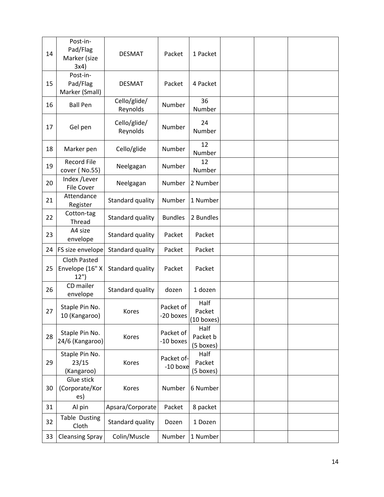| 14 | Post-in-<br>Pad/Flag<br>Marker (size<br>3x4)   | <b>DESMAT</b>            | Packet                   | 1 Packet                       |  |  |
|----|------------------------------------------------|--------------------------|--------------------------|--------------------------------|--|--|
| 15 | Post-in-<br>Pad/Flag<br>Marker (Small)         | <b>DESMAT</b>            | Packet                   | 4 Packet                       |  |  |
| 16 | <b>Ball Pen</b>                                | Cello/glide/<br>Reynolds | Number                   | 36<br>Number                   |  |  |
| 17 | Gel pen                                        | Cello/glide/<br>Reynolds | Number                   | 24<br>Number                   |  |  |
| 18 | Marker pen                                     | Cello/glide              | Number                   | 12<br>Number                   |  |  |
| 19 | <b>Record File</b><br>cover (No.55)            | Neelgagan                | Number                   | 12<br>Number                   |  |  |
| 20 | Index /Lever<br><b>File Cover</b>              | Neelgagan                | Number                   | 2 Number                       |  |  |
| 21 | Attendance<br>Register                         | Standard quality         | Number                   | 1 Number                       |  |  |
| 22 | Cotton-tag<br>Thread                           | Standard quality         | <b>Bundles</b>           | 2 Bundles                      |  |  |
| 23 | A4 size<br>envelope                            | Standard quality         | Packet                   | Packet                         |  |  |
| 24 | FS size envelope                               | Standard quality         | Packet                   | Packet                         |  |  |
| 25 | <b>Cloth Pasted</b><br>Envelope (16" X<br>12") | Standard quality         | Packet                   | Packet                         |  |  |
| 26 | CD mailer<br>envelope                          | Standard quality         | dozen                    | 1 dozen                        |  |  |
| 27 | Staple Pin No.<br>10 (Kangaroo)                | Kores                    | Packet of<br>-20 boxes   | Half<br>Packet<br>$(10$ boxes) |  |  |
| 28 | Staple Pin No.<br>24/6 (Kangaroo)              | Kores                    | Packet of<br>-10 boxes   | Half<br>Packet b<br>(5 boxes)  |  |  |
| 29 | Staple Pin No.<br>23/15<br>(Kangaroo)          | Kores                    | Packet of-<br>$-10$ boxe | Half<br>Packet<br>(5 boxes)    |  |  |
| 30 | Glue stick<br>(Corporate/Kor<br>es)            | Kores                    | Number                   | 6 Number                       |  |  |
| 31 | Al pin                                         | Apsara/Corporate         | Packet                   | 8 packet                       |  |  |
| 32 | Table Dusting<br>Cloth                         | Standard quality         | Dozen                    | 1 Dozen                        |  |  |
| 33 | <b>Cleansing Spray</b>                         | Colin/Muscle             | Number                   | 1 Number                       |  |  |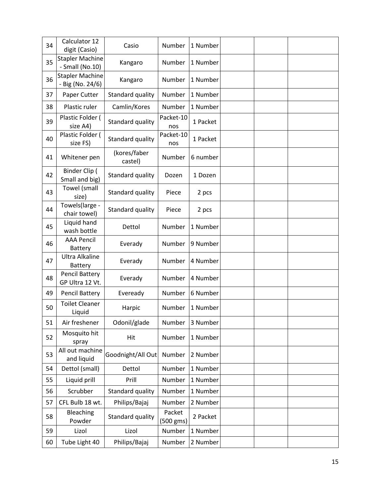| 34 | Calculator 12<br>digit (Casio)             | Casio                   | Number              | 1 Number |  |  |
|----|--------------------------------------------|-------------------------|---------------------|----------|--|--|
| 35 | <b>Stapler Machine</b><br>- Small (No.10)  | Kangaro                 | Number              | 1 Number |  |  |
| 36 | <b>Stapler Machine</b><br>- Big (No. 24/6) | Kangaro                 | Number              | 1 Number |  |  |
| 37 | Paper Cutter                               | Standard quality        | Number              | 1 Number |  |  |
| 38 | Plastic ruler                              | Camlin/Kores            | Number              | 1 Number |  |  |
| 39 | Plastic Folder (<br>size A4)               | Standard quality        | Packet-10<br>nos    | 1 Packet |  |  |
| 40 | Plastic Folder (<br>size FS)               | Standard quality        | Packet-10<br>nos    | 1 Packet |  |  |
| 41 | Whitener pen                               | (kores/faber<br>castel) | Number              | 6 number |  |  |
| 42 | Binder Clip (<br>Small and big)            | Standard quality        | Dozen               | 1 Dozen  |  |  |
| 43 | Towel (small<br>size)                      | Standard quality        | Piece               | 2 pcs    |  |  |
| 44 | Towels(large -<br>chair towel)             | Standard quality        | Piece               | 2 pcs    |  |  |
| 45 | Liquid hand<br>wash bottle                 | Dettol                  | Number              | 1 Number |  |  |
| 46 | <b>AAA Pencil</b><br>Battery               | Everady                 | Number              | 9 Number |  |  |
| 47 | <b>Ultra Alkaline</b><br>Battery           | Everady                 | Number              | 4 Number |  |  |
| 48 | Pencil Battery<br>GP Ultra 12 Vt.          | Everady                 | Number              | 4 Number |  |  |
| 49 | <b>Pencil Battery</b>                      | Eveready                | Number              | 6 Number |  |  |
| 50 | <b>Toilet Cleaner</b><br>Liquid            | Harpic                  | Number              | 1 Number |  |  |
| 51 | Air freshener                              | Odonil/glade            | Number              | 3 Number |  |  |
| 52 | Mosquito hit<br>spray                      | Hit                     | Number              | 1 Number |  |  |
| 53 | All out machine<br>and liquid              | Goodnight/All Out       | Number              | 2 Number |  |  |
| 54 | Dettol (small)                             | Dettol                  | Number              | 1 Number |  |  |
| 55 | Liquid prill                               | Prill                   | Number              | 1 Number |  |  |
| 56 | Scrubber                                   | Standard quality        | Number              | 1 Number |  |  |
| 57 | CFL Bulb 18 wt.                            | Philips/Bajaj           | Number              | 2 Number |  |  |
| 58 | Bleaching<br>Powder                        | Standard quality        | Packet<br>(500 gms) | 2 Packet |  |  |
| 59 | Lizol                                      | Lizol                   | Number              | 1 Number |  |  |
| 60 | Tube Light 40                              | Philips/Bajaj           | Number              | 2 Number |  |  |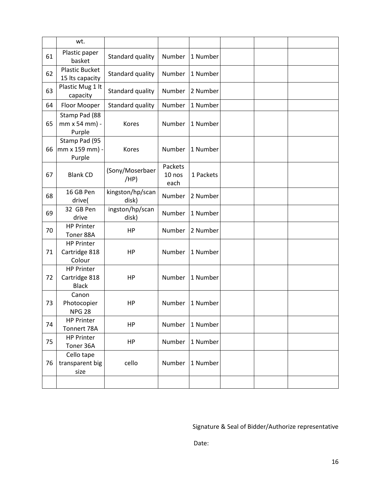|    | wt.                                                |                           |                           |           |  |  |
|----|----------------------------------------------------|---------------------------|---------------------------|-----------|--|--|
| 61 | Plastic paper<br>basket                            | Standard quality          | Number                    | 1 Number  |  |  |
| 62 | <b>Plastic Bucket</b><br>15 Its capacity           | Standard quality          | Number                    | 1 Number  |  |  |
| 63 | Plastic Mug 1 lt<br>capacity                       | Standard quality          | Number                    | 2 Number  |  |  |
| 64 | Floor Mooper                                       | Standard quality          | Number                    | 1 Number  |  |  |
| 65 | Stamp Pad (88<br>mm x 54 mm) -<br>Purple           | Kores                     | Number                    | 1 Number  |  |  |
| 66 | Stamp Pad (95<br>mm x 159 mm) -<br>Purple          | Kores                     | Number                    | 1 Number  |  |  |
| 67 | <b>Blank CD</b>                                    | (Sony/Moserbaer<br>(HP)   | Packets<br>10 nos<br>each | 1 Packets |  |  |
| 68 | 16 GB Pen<br>drive(                                | kingston/hp/scan<br>disk) | Number                    | 2 Number  |  |  |
| 69 | 32 GB Pen<br>drive                                 | ingston/hp/scan<br>disk)  | Number                    | 1 Number  |  |  |
| 70 | <b>HP Printer</b><br>Toner 88A                     | HP                        | Number                    | 2 Number  |  |  |
| 71 | <b>HP Printer</b><br>Cartridge 818<br>Colour       | HP                        | Number                    | 1 Number  |  |  |
| 72 | <b>HP Printer</b><br>Cartridge 818<br><b>Black</b> | HP                        | Number                    | 1 Number  |  |  |
| 73 | Canon<br>Photocopier<br><b>NPG 28</b>              | HP                        | Number                    | 1 Number  |  |  |
| 74 | <b>HP Printer</b><br>Tonnert 78A                   | HP                        | Number                    | 1 Number  |  |  |
| 75 | <b>HP Printer</b><br>Toner 36A                     | HP                        | Number                    | 1 Number  |  |  |
| 76 | Cello tape<br>transparent big<br>size              | cello                     | Number                    | 1 Number  |  |  |
|    |                                                    |                           |                           |           |  |  |

Signature & Seal of Bidder/Authorize representative

Date: